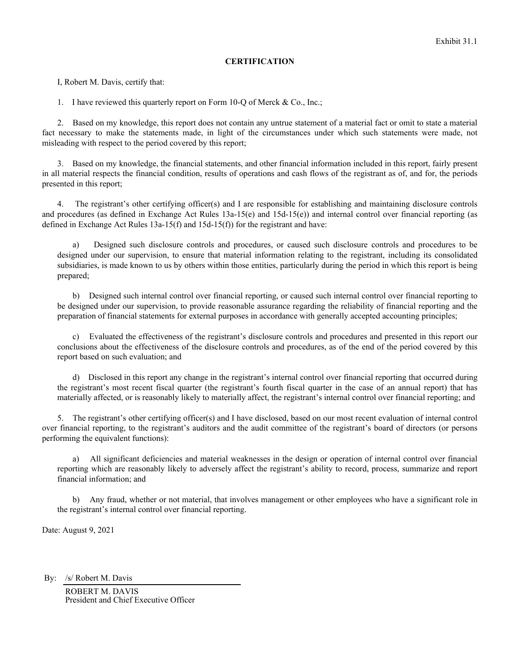## **CERTIFICATION**

I, Robert M. Davis, certify that:

1. I have reviewed this quarterly report on Form 10-Q of Merck & Co., Inc.;

2. Based on my knowledge, this report does not contain any untrue statement of a material fact or omit to state a material fact necessary to make the statements made, in light of the circumstances under which such statements were made, not misleading with respect to the period covered by this report;

3. Based on my knowledge, the financial statements, and other financial information included in this report, fairly present in all material respects the financial condition, results of operations and cash flows of the registrant as of, and for, the periods presented in this report;

4. The registrant's other certifying officer(s) and I are responsible for establishing and maintaining disclosure controls and procedures (as defined in Exchange Act Rules  $13a-15(e)$  and  $15d-15(e)$ ) and internal control over financial reporting (as defined in Exchange Act Rules 13a-15(f) and 15d-15(f)) for the registrant and have:

a) Designed such disclosure controls and procedures, or caused such disclosure controls and procedures to be designed under our supervision, to ensure that material information relating to the registrant, including its consolidated subsidiaries, is made known to us by others within those entities, particularly during the period in which this report is being prepared;

b) Designed such internal control over financial reporting, or caused such internal control over financial reporting to be designed under our supervision, to provide reasonable assurance regarding the reliability of financial reporting and the preparation of financial statements for external purposes in accordance with generally accepted accounting principles;

c) Evaluated the effectiveness of the registrant's disclosure controls and procedures and presented in this report our conclusions about the effectiveness of the disclosure controls and procedures, as of the end of the period covered by this report based on such evaluation; and

d) Disclosed in this report any change in the registrant's internal control over financial reporting that occurred during the registrant's most recent fiscal quarter (the registrant's fourth fiscal quarter in the case of an annual report) that has materially affected, or is reasonably likely to materially affect, the registrant's internal control over financial reporting; and

5. The registrant's other certifying officer(s) and I have disclosed, based on our most recent evaluation of internal control over financial reporting, to the registrant's auditors and the audit committee of the registrant's board of directors (or persons performing the equivalent functions):

a) All significant deficiencies and material weaknesses in the design or operation of internal control over financial reporting which are reasonably likely to adversely affect the registrant's ability to record, process, summarize and report financial information; and

b) Any fraud, whether or not material, that involves management or other employees who have a significant role in the registrant's internal control over financial reporting.

Date: August 9, 2021

By: /s/ Robert M. Davis

ROBERT M. DAVIS President and Chief Executive Officer